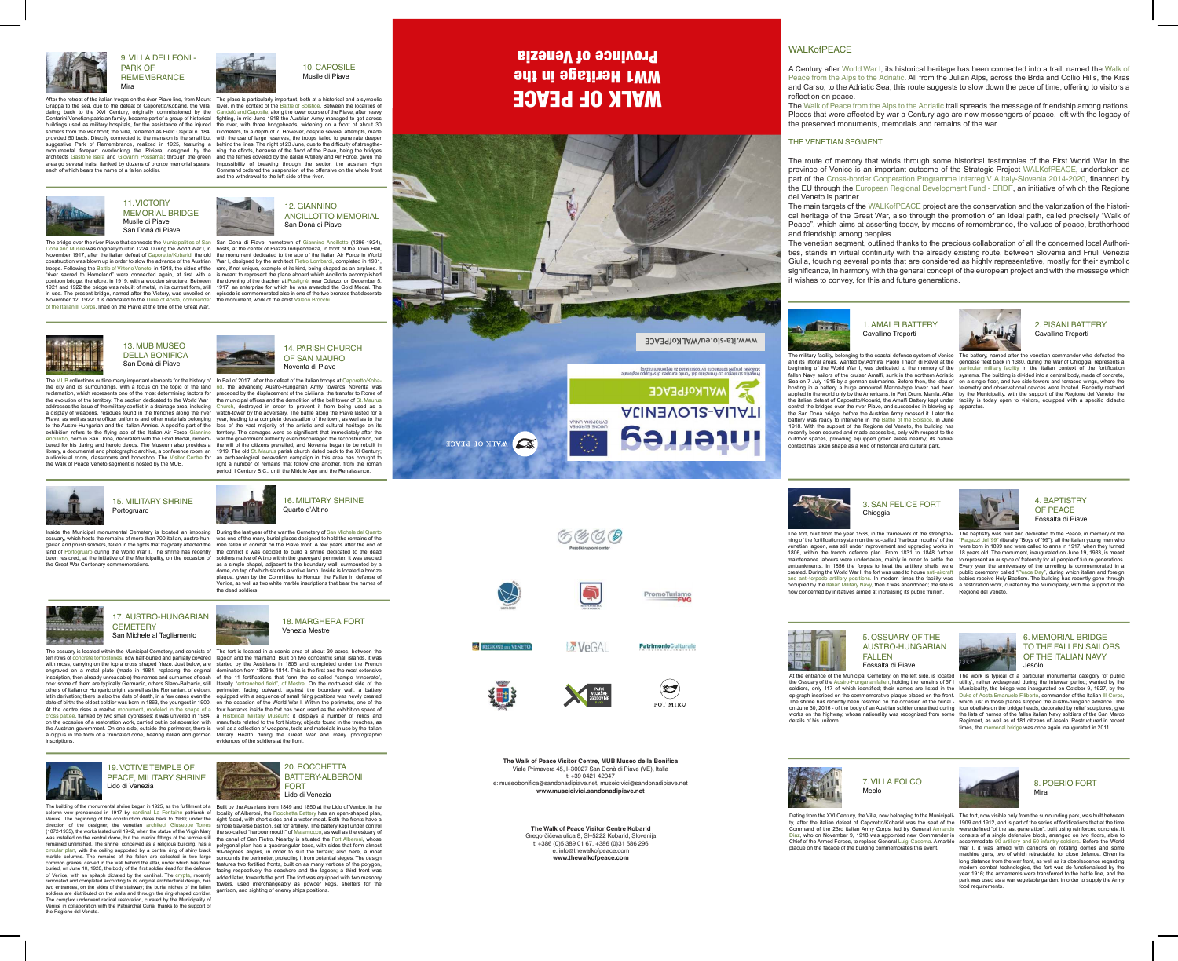A Century after World War I, its historical heritage has been connected into a trail, named the Walk of Peace from the Alps to the Adriatic. All from the Julian Alps, across the Brda and Collio Hills, the Kras and Carso, to the Adriatic Sea, this route suggests to slow down the pace of time, offering to visitors a reflection on peace.

The Walk of Peace from the Alps to the Adriatic trail spreads the message of friendship among nations. Places that were affected by war a Century ago are now messengers of peace, left with the legacy of the preserved monuments, memorials and remains of the war.

#### THE VENETIAN SEGMENT

The route of memory that winds through some historical testimonies of the First World War in the province of Venice is an important outcome of the Strategic Project WALKofPEACE, undertaken as part of the Cross-border Cooperation Programme Interreg V A Italy-Slovenia 2014-2020, financed by the EU through the European Regional Development Fund - ERDF, an initiative of which the Regione del Veneto is partner.

The main targets of the WALKofPEACE project are the conservation and the valorization of the historical heritage of the Great War, also through the promotion of an ideal path, called precisely "Walk of Peace", which aims at asserting today, by means of remembrance, the values of peace, brotherhood and friendship among peoples.

the San Donà bridge, before the Austrian Army crossed it. Later the battery was ready to intervene in the Battle of the Solstice, in June 1918. With the support of the Regione del Veneto, the building has recently been secured and made accessible, only with respect to the outdoor spaces, providing equipped green areas nearby; its natural context has taken shape as a kind of historical and cultural park.



The venetian segment, outlined thanks to the precious collaboration of all the concerned local Authorities, stands in virtual continuity with the already existing route, between Slovenia and Friuli Venezia Giulia, touching several points that are considered as highly representative, mostly for their symbolic significance, in harmony with the general concept of the european project and with the message which it wishes to convey, for this and future generations.



Dating from the XVI Century, the Villa, now belonging to the Municipali- The fort, now visible only from the surrounding park, was built between ty, after the italian defeat of Caporetto/Kobarid was the seat of the 1909 and 1912, and is part of the series of fortifications that at the time Command of the 23rd italian Army Corps, led by General Armando were defined "of the last generation", built using reinforced concrete. It Diaz, who on November 9, 1918 was appointed new Commander in consists of a single defensive block, arranged on two floors, able to Chief of the Armed Forces, to replace General Luigi Cadorna. A marble accommodate 90 artillery and 50 infantry soldiers. Before the World plaque on the facade of the building commemorates this event.

now concerned by initiatives aimed at increasing its public fruition.

soldiers, only 117 of which identified; their names are listed in the epigraph inscribed on the commemorative plaque placed on the front. details of his uniform.



The MUB collections outline many important elements for the history of In Fall of 2017, after the defeat of the italian troops at Caporetto/Kobathe evolution of the territory. The section dedicated to the World War I the municipal offices and the demolition of the bell tower of St. Maurus the Walk of Peace Veneto segment is hosted by the MUB.



The fort, built from the year 1538, in the framework of the strengthe-The baptistry was built and dedicated to the Peace, in memory of the ning of the fortification system on the so-called "harbour mouths" of the "Ragazzi del '99" (literally "Boys of '99"): all the italian young men who venetian lagoon, was still under improvement and upgrading works in were born in 1899 and were called to arms in 1917, when they turned 1806, within the french defence plan. From 1831 to 1848 further 18 years old. The monument, inaugurated on June 19, 1983, is meant maintenance labours were undertaken, mainly in order to settle the to represent an auspice of fraternity for all people of future generations. embankments. In 1856 the forges to heat the artillery shells were Every year the anniversary of the unveiling is commemorated in a created. During the World War I, the fort was used to house anti-aircraft public ceremony called "Peace Day", during which italian and foreign and anti-torpedo artillery positions. In modern times the facility was babies receive Holy Baptism. The building has recently gone through occupied by the Italian Military Navy, then it was abandoned; the site is a restoration work, curated by the Municipality, with the support of the Regione del Veneto.



At the entrance of the Municipal Cemetery, on the left side, is located The work is typical of a particular monumental category 'of public the Ossuary of the Austro-Hungarian fallen, holding the remains of 571 utility', rather widespread during the interwar period; wanted by the The shrine has recently been restored on the occasion of the burial - which just in those places stopped the austro-hungaric advance. The on June 30, 2016 - of the body of an Austrian soldier unearthed during four obelisks on the bridge heads, decorated by relief sculptures, give works on the highway, whose nationality was recognized from some the lists of names of the fallen italian Navy soldiers of the San Marco Municipality, the bridge was inaugurated on October 9, 1927, by the Duke of Aosta Emanuele Filiberto, commander of the Italian III Corps, Regiment, as well as of 181 citizens of Jesolo. Restructured in recent times, the memorial bridge was once again inaugurated in 2011.



Inside the Municipal monumental Cemetery is located an imposing During the last year of the war the Cemetery of San Michele del Quarto ossuary, which hosts the remains of more than 700 italian, austro-hun-was one of the many burial places designed to hold the remains of the garian and polish soldiers, fallen in the fights that tragically affected the wen fallen in combat on the Piave front. A few years after the end of land of Portogruaro during the World War I. The shrine has recently \_the conflict it was decided to build a shrine dedicated to the dead been restored, at the initiative of the Municipality, on the occasion of soldiers native of Altino within the graveyard perimeter. It was erected the Great War Centenary commemorations.



War I, it was armed with cannons on rotating domes and some machine guns, two of which retractable, for close defence. Given its long distance from the war front, as well as its obsolescence regarding modern combat technologies, the fort was de-functionalised by the year 1916; the armaments were transferred to the battle line, and the park was used as a war vegetable garden, in order to supply the Army food requirements.

the canal of San Pietro. Nearby is situated the Fort Alberoni, whose polygonal plan has a quadrangular base, with sides that form almost 90-degrees angles, in order to suit the terrain; also here, a moat facing respectively the seashore and the lagoon; a third front was towers, used interchangeably as powder kegs, shelters for the garrison, and sighting of enemy ships positions.

## **MALK OF PEACE** ww1 Heritage in the **Province of Venezia**

The ossuary is located within the Municipal Cemetery, and consists of  $\;$  The fort is located in a scenic area of about 30 acres, between the ten rows of concrete tombstones, now half-buried and partially covered lagoon and the mainland. Built on two concentric small islands, it was with moss, carrying on the top a cross shaped frieze. Just below, are started by the Austrians in 1805 and completed under the French engraved on a metal plate (made in 1984, replacing the original domination from 1809 to 1814. This is the first and the most extensive inscription, then already unreadable) the names and surnames of each of the 11 fortifications that form the so-called "campo trincerato", one: some of them are typically Germanic, others Slavo-Balcanic, still literally "entrenched field", of Mestre. On the north-east side of the others of Italian or Hungaric origin, as well as the Romanian, of evident perimeter, facing outward, against the boundary wall, a battery latin derivation; there is also the date of death, in a few cases even the equipped with a sequence of small firing positions was newly created date of birth: the oldest soldier was born in 1863, the youngest in 1900. on the occasion of the World War I. Within the perimeter, one of the At the centre rises a marble monument, modeled in the shape of a four barracks inside the fort has been used as the exhibition space of cross pattée, flanked by two small cypresses; it was unveiled in 1984, a Historical Military Museum; it displays a number of relics and on the occasion of a restoration work, carried out in collaboration with manufacts related to the fort history, objects found in the trenches, as the Austrian government. On one side, outside the perimeter, there is well as a collection of weapons, tools and materials in use by the italian a cippus in the form of a truncated cone, bearing italian and german Military Health during the Great War and many photographic evidences of the soldiers at the front.

After the retreat of the italian troops on the river Piave line, from Mount The place is particularly important, both at a historical and a symbolic buildings used as military hospitals, for the assistance of the injured soldiers from the war front; the Villa, renamed as Field Ospital n. 184, each of which bears the name of a fallen soldier.





the city and its surroundings, with a focus on the topic of the land rid, the advancing Austro-Hungarian Army towards Noventa was reclamation, which represents one of the most determining factors for preceded by the displacement of the civilians, the transfer to Rome of addresses the issue of the military conflict in a drainage area, including Church, destroyed in order to prevent it from being used as a a display of weapons, residues found in the trenches along the river watch-tower by the adversary. The battle along the Piave lasted for a Piave, as well as some officer uniforms and other materials belonging year, leading to a complete devastation of the town, as well as to the to the Austro-Hungarian and the Italian Armies. A specific part of the loss of the vast majority of the artistic and cultural heritage on its exhibition refers to the flying ace of the Italian Air Force Giannino territory. The damages were so significant that immediately after the Ancillotto, born in San Donà, decorated with the Gold Medal, remem-war the government authority even discouraged the reconstruction, but bered for his daring and heroic deeds. The Museum also provides a the will of the citizens prevailed, and Noventa began to be rebuilt in library, a documental and photographic archive, a conference room, an 1919. The old St. Maurus parish church dated back to the XI Century; audiovisual room, classrooms and bookshop. The Visitor Centre for an archaeological excavation campaign in this area has brought to light a number of remains that follow one another, from the roman period, I Century B.C., until the Middle Age and the Renaissance.

The bridge over the river Piave that connects the Municipalities of San San Donà di Piave, hometown of Giannino Ancillotto (1296-1924), Donà and Musile was originally built in 1224. During the World War I, in hosts, at the center of Piazza Indipendenza, in front of the Town Hall, November 1917, after the italian defeat of Caporetto/Kobarid, the old \_ the monument dedicated to the ace of the Italian Air Force in World construction was blown up in order to slow the advance of the Austrian War I, designed by the architect Pietro Lombardi, completed in 1931, troops. Following the <u>Battle of Vittorio Veneto,</u> in 1918, the sides of the ,rare, if not unique, example of its kind, being shaped as an airplane. It "river sacred to Homeland" were connected again, at first with a is meant to represent the plane aboard which Ancillotto accomplished pontoon bridge, therefore, in 1919, with a wooden structure. Between the downing of the drachen at Rustignè, near Oderzo, on December 5, 1921 and 1922 the bridge was rebuilt of metal, in its current form, still 1917, an enterprise for which he was awarded the Gold Medal. The in use. The present bridge, named after the Victory, was unveiled on episode is commemorated also in one of the two bronzes that decorate November 12, 1922: it is dedicated to the Duke of Aosta, commander the monument, work of the artist Valerio Brocchi. of the Italian III Corps, lined on the Piave at the time of the Great War.



Grappa to the sea, due to the defeat of Caporetto/Kobarid, the Villa, Ievel, in the context of the Battle of Solstice. Between the localities of dating back to the XVI Century, originally commissioned by the Candelù and Caposile, along the lower course of the Piave, after heavy Contarini Venetian patrician family, became part of a group of historical fighting, in mid-June 1918 the Austrian Army managed to get across provided 50 beds. Directly connected to the mansion is the small but with the use of large reserves, the troops failed to penetrate deeper suggestive Park of Remembrance, realized in 1925, featuring a behind the lines. The night of 23 June, due to the difficulty of strengthemonumental forepart overlooking the Riviera, designed by the ning the efforts, because of the flood of the Piave, being the bridges architects Gastone Isera and Giovanni Possamai; through the green and the ferries covered by the italian Artillery and Air Force, given the area go several trails, flanked by dozens of bronze memorial spears, impossibility of breaking through the sector, the austrian High the river, with three bridgeheads, widening on a front of about 30 kilometers, to a depth of 7. However, despite several attempts, made Command ordered the suspension of the offensive on the whole front and the withdrawal to the left side of the river.



The military facility, belonging to the coastal defence system of Venice The battery, named after the venetian commander who defeated the and its littoral areas, wanted by Admiral Paolo Thaon di Revel at the genoese fleet back in 1380, during the War of Chioggia, represents a beginning of the World War I, was dedicated to the memory of the particular military facility in the italian context of the fortification fallen Navy sailors of the cruiser Amalfi, sunk in the northern Adriatic systems. The building is divided into a central body, made of concrete, Sea on 7 July 1915 by a german submarine. Before then, the idea of on a single floor, and two side towers and terraced wings, where the hosting in a battery a huge armoured Marine-type tower had been telemetry and observational devices were located. Recently restored applied in the world only by the Americans, in Fort Drum, Manila. After by the Municipality, with the support of the Regione del Veneto, the the italian defeat of Caporetto/Kobarid, the Amalfi Battery kept under facility is today open to visitors, equipped with a specific didactic control the bridges over the river Piave, and succeeded in blowing up apparatus.



inscriptions.

The building of the monumental shrine began in 1925, as the fulfillment of a Built by the Austrians from 1849 and 1850 at the Lido of Venice, in the solemn vow pronounced in 1917 by cardinal La Fontaine patriarch of locality of Alberoni, the Rocchetta Battery has an open-shaped plan, Venice. The beginning of the construction dates back to 1930; under the right faced, with short sides and a water moat. Both the fronts have a direction of the designer, the venetian architect Giuseppe Torres simple traverse bastion, set for artillery. The battery kept under control (1872-1935), the works lasted until 1942, when the statue of the Virgin Mary the so-called "harbour mouth" of Malamocco, as well as the estuary of was installed on the central dome, but the interior fittings of the temple still the canal of San Pietro. Nearby is situated the Fort Alberoni, whose remained unfinished. The shrine, conceived as a religious building, has a circular plan, with the ceiling supported by a central ring of shiny black marble columns. The remains of the fallen are collected in two large surrounds the perimeter, protecting it from potential sieges. The design common graves, carved in the wall behind the altar, under which has been eatures two fortified fronts, built on as many vertices of the polygon, common graves, carved in the wall bening the altar, under which has been features two fortified fronts, built on as many vertices of the polygon,<br>buried, on June 10, 1928, the body of the first soldier dead for the defense of Venice, with an epitaph dictated by the cardinal. The crypta, recently added later, towards the port. The fort was equipped with two masonry renovated and completed according to its original architectural design, has two entrances, on the sides of the stairway; the burial niches of the fallen soldiers are distributed on the walls and through the ring-shaped corridor. The complex underwent radical restoration, curated by the Municipality of Venice in collaboration with the Patriarchal Curia, thanks to the support of the Regione del Veneto.

as a simple chapel, adjacent to the boundary wall, surmounted by a dome, on top of which stands a votive lamp. Inside is located a bronze plaque, given by the Committee to Honour the Fallen in defense of Venice, as well as two white marble inscriptions that bear the names of

the dead soldiers.

2. PISANI BATTERY Cavallino Treporti

1. AMALFI BATTERY Cavallino Treporti



4. BAPTISTRY OF PEACE Fossalta di Piave

#### 5. OSSUARY OF THE AUSTRO-HUNGARIAN FALLEN

Fossalta di Piave

7. VILLA FOLCO Meolo



8. POERIO FORT Mira

#### 3. SAN FELICE FORT Chioggia

#### 6. MEMORIAL BRIDGE TO THE FALLEN SAILORS OF THE ITALIAN NAVY Jesolo



9. VILLA DEI LEONI - PARK OF **REMEMBRANCE** Mira

11. VICTORY MEMORIAL BRIDGE Musile di Piave San Donà di Piave

#### 13. MUB MUSEO DELLA BONIFICA San Donà di Piave



15. MILITARY SHRINE Portogruaro

#### 17. AUSTRO-HUNGARIAN **CEMETERY** San Michele al Tagliamento

#### 19. VOTIVE TEMPLE OF PEACE, MILITARY SHRINE Lido di Venezia

18. MARGHERA FORT

Venezia Mestre



16. MILITARY SHRINE

Quarto d'Altino



#### 14. PARISH CHURCH OF SAN MAURO Noventa di Piave

#### 12. GIANNINO ANCILLOTTO MEMORIAL San Donà di Piave



10. CAPOSILE Musile di Piave

> **The Walk of Peace Visitor Centre Kobarid** Gregorčičeva ulica 8, SI–5222 Kobarid, Slovenija t: +386 (0)5 389 01 67, +386 (0)31 586 296 e: info@thewalkofpeace.com **www.thewalkofpeace.com**

#### **WALKofPEACE**

**The Walk of Peace Visitor Centre, MUB Museo della Bonifica** Viale Primavera 45, I–30027 San Donà di Piave (VE), Italia t: +39 0421 42047 e: museobonifica@sandonadipiave.net, museicivici@sandonadipiave.net **www.museicivici.sandonadipiave.net**









 $\geq$  VeGAI



**PatrimonioCulturale**